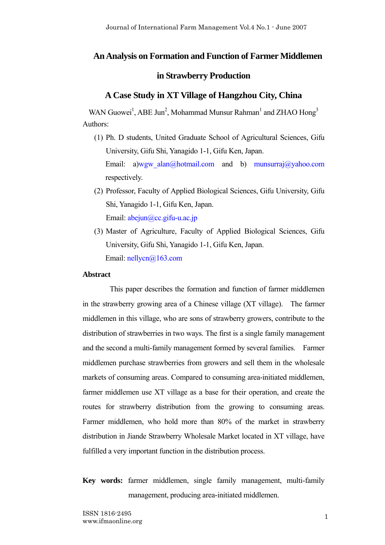# **An Analysis on Formation and Function of Farmer Middlemen**

# **in Strawberry Production**

# **A Case Study in XT Village of Hangzhou City, China**

WAN Guowei<sup>1</sup>, ABE Jun<sup>2</sup>, Mohammad Munsur Rahman<sup>1</sup> and ZHAO Hong<sup>3</sup> Authors:

- (1) Ph. D students, United Graduate School of Agricultural Sciences, Gifu University, Gifu Shi, Yanagido 1-1, Gifu Ken, Japan. Email: a)wgw\_alan@hotmail.com and b) munsurraj@yahoo.com respectively.
- (2) Professor, Faculty of Applied Biological Sciences, Gifu University, Gifu Shi, Yanagido 1-1, Gifu Ken, Japan. Email: abejun@cc.gifu-u.ac.jp
- (3) Master of Agriculture, Faculty of Applied Biological Sciences, Gifu University, Gifu Shi, Yanagido 1-1, Gifu Ken, Japan. Email: nellycn@163.com

### **Abstract**

This paper describes the formation and function of farmer middlemen in the strawberry growing area of a Chinese village (XT village). The farmer middlemen in this village, who are sons of strawberry growers, contribute to the distribution of strawberries in two ways. The first is a single family management and the second a multi-family management formed by several families. Farmer middlemen purchase strawberries from growers and sell them in the wholesale markets of consuming areas. Compared to consuming area-initiated middlemen, farmer middlemen use XT village as a base for their operation, and create the routes for strawberry distribution from the growing to consuming areas. Farmer middlemen, who hold more than 80% of the market in strawberry distribution in Jiande Strawberry Wholesale Market located in XT village, have fulfilled a very important function in the distribution process.

**Key words:** farmer middlemen, single family management, multi-family management, producing area-initiated middlemen.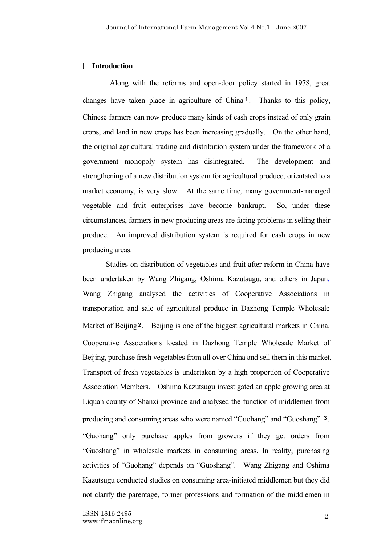### Ⅰ **Introduction**

Along with the reforms and open-door policy started in 1978, great changes have taken place in agriculture of China1. Thanks to this policy, Chinese farmers can now produce many kinds of cash crops instead of only grain crops, and land in new crops has been increasing gradually. On the other hand, the original agricultural trading and distribution system under the framework of a government monopoly system has disintegrated. The development and strengthening of a new distribution system for agricultural produce, orientated to a market economy, is very slow. At the same time, many government-managed vegetable and fruit enterprises have become bankrupt. So, under these circumstances, farmers in new producing areas are facing problems in selling their produce. An improved distribution system is required for cash crops in new producing areas.

 Studies on distribution of vegetables and fruit after reform in China have been undertaken by Wang Zhigang, Oshima Kazutsugu, and others in Japan. Wang Zhigang analysed the activities of Cooperative Associations in transportation and sale of agricultural produce in Dazhong Temple Wholesale Market of Beijing<sup>2</sup>. Beijing is one of the biggest agricultural markets in China. Cooperative Associations located in Dazhong Temple Wholesale Market of Beijing, purchase fresh vegetables from all over China and sell them in this market. Transport of fresh vegetables is undertaken by a high proportion of Cooperative Association Members. Oshima Kazutsugu investigated an apple growing area at Liquan county of Shanxi province and analysed the function of middlemen from producing and consuming areas who were named "Guohang" and "Guoshang" <sup>3</sup>. "Guohang" only purchase apples from growers if they get orders from "Guoshang" in wholesale markets in consuming areas. In reality, purchasing activities of "Guohang" depends on "Guoshang". Wang Zhigang and Oshima Kazutsugu conducted studies on consuming area-initiated middlemen but they did not clarify the parentage, former professions and formation of the middlemen in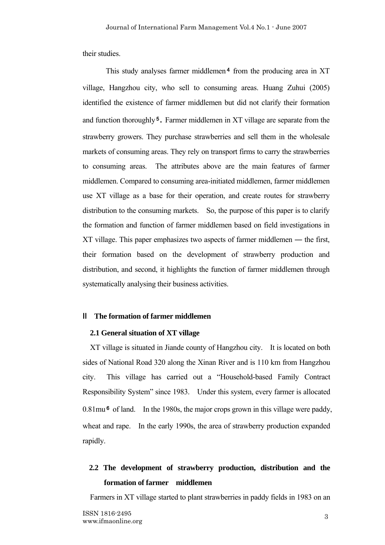their studies.

This study analyses farmer middlemen<sup>4</sup> from the producing area in  $XT$ village, Hangzhou city, who sell to consuming areas. Huang Zuhui (2005) identified the existence of farmer middlemen but did not clarify their formation and function thoroughly<sup>5</sup>. Farmer middlemen in XT village are separate from the strawberry growers. They purchase strawberries and sell them in the wholesale markets of consuming areas. They rely on transport firms to carry the strawberries to consuming areas. The attributes above are the main features of farmer middlemen. Compared to consuming area-initiated middlemen, farmer middlemen use XT village as a base for their operation, and create routes for strawberry distribution to the consuming markets. So, the purpose of this paper is to clarify the formation and function of farmer middlemen based on field investigations in XT village. This paper emphasizes two aspects of farmer middlemen ― the first, their formation based on the development of strawberry production and distribution, and second, it highlights the function of farmer middlemen through systematically analysing their business activities.

### Ⅱ **The formation of farmer middlemen**

#### **2.1 General situation of XT village**

XT village is situated in Jiande county of Hangzhou city. It is located on both sides of National Road 320 along the Xinan River and is 110 km from Hangzhou city. This village has carried out a "Household-based Family Contract Responsibility System" since 1983. Under this system, every farmer is allocated 0.81mu<sup>6</sup> of land. In the 1980s, the major crops grown in this village were paddy, wheat and rape. In the early 1990s, the area of strawberry production expanded rapidly.

# **2.2 The development of strawberry production, distribution and the formation of farmer middlemen**

Farmers in XT village started to plant strawberries in paddy fields in 1983 on an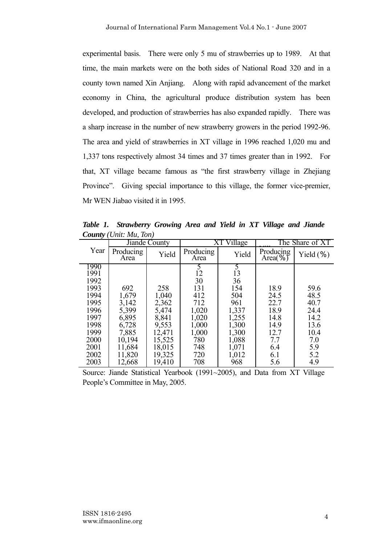experimental basis. There were only 5 mu of strawberries up to 1989. At that time, the main markets were on the both sides of National Road 320 and in a county town named Xin Anjiang. Along with rapid advancement of the market economy in China, the agricultural produce distribution system has been developed, and production of strawberries has also expanded rapidly. There was a sharp increase in the number of new strawberry growers in the period 1992-96. The area and yield of strawberries in XT village in 1996 reached 1,020 mu and 1,337 tons respectively almost 34 times and 37 times greater than in 1992. For that, XT village became famous as "the first strawberry village in Zhejiang Province". Giving special importance to this village, the former vice-premier, Mr WEN Jiabao visited it in 1995.

*Table 1. Strawberry Growing Area and Yield in XT Village and Jiande County (Unit: Mu, Ton)*

|      | Jiande County     |        |                   | Village       | The Share of XT         |               |  |
|------|-------------------|--------|-------------------|---------------|-------------------------|---------------|--|
| Year | Producing<br>Area | Yield  | Producing<br>Area | Yield         | Producing<br>Area $(\%$ | Yield $(\% )$ |  |
| 1990 |                   |        |                   | $\mathcal{L}$ |                         |               |  |
| 1991 |                   |        | 12                | 13            |                         |               |  |
| 1992 |                   |        | 30                | 36            |                         |               |  |
| 1993 | 692               | 258    | 131               | 154           | 18.9                    | 59.6          |  |
| 1994 | 1,679             | 1,040  | 412               | 504           | 24.5                    | 48.5          |  |
| 1995 | 3,142             | 2,362  | 712               | 961           | 22.7                    | 40.7          |  |
| 1996 | 5,399             | 5,474  | 1,020             | 1,337         | 18.9                    | 24.4          |  |
| 1997 | 6,895             | 8,841  | 1,020             | 1,255         | 14.8                    | 14.2          |  |
| 1998 | 6,728             | 9,553  | 1,000             | 1,300         | 14.9                    | 13.6          |  |
| 1999 | 7,885             | 12,471 | 1,000             | 1,300         | 12.7                    | 10.4          |  |
| 2000 | 10,194            | 15,525 | 780               | 1,088         | 7.7                     | 7.0           |  |
| 2001 | 11,684            | 18,015 | 748               | 1,071         | 6.4                     | 5.9           |  |
| 2002 | 11,820            | 19,325 | 720               | 1,012         | 6.1                     | 5.2           |  |
| 2003 | 12,668            | 19,410 | 708               | 968           | 5.6                     | 4.9           |  |

Source: Jiande Statistical Yearbook (1991~2005), and Data from XT Village People's Committee in May, 2005.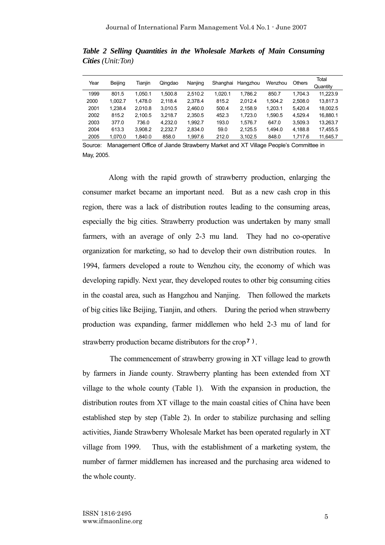| Year | Beijing | Tianiin | Qingdao | Nanjing | Shanghai | Hangzhou | Wenzhou | Others  | Total<br>Quantity |
|------|---------|---------|---------|---------|----------|----------|---------|---------|-------------------|
| 1999 | 801.5   | 1.050.1 | 1.500.8 | 2.510.2 | 1.020.1  | 1.786.2  | 850.7   | 1.704.3 | 11,223.9          |
| 2000 | 1.002.7 | 1.478.0 | 2.118.4 | 2.378.4 | 815.2    | 2.012.4  | 1.504.2 | 2.508.0 | 13,817.3          |
| 2001 | 1,238.4 | 2,010.8 | 3,010.5 | 2,460.0 | 500.4    | 2,158.9  | 1,203.1 | 5.420.4 | 18,002.5          |
| 2002 | 815.2   | 2.100.5 | 3.218.7 | 2,350.5 | 452.3    | 1.723.0  | 1,590.5 | 4.529.4 | 16,880.1          |
| 2003 | 377.0   | 736.0   | 4,232.0 | 1.992.7 | 193.0    | 1.576.7  | 647.0   | 3.509.3 | 13,263.7          |
| 2004 | 613.3   | 3.908.2 | 2.232.7 | 2.834.0 | 59.0     | 2.125.5  | 1.494.0 | 4.188.8 | 17.455.5          |
| 2005 | 1,070.0 | 1,840.0 | 858.0   | 1,997.6 | 212.0    | 3,102.5  | 848.0   | 1,717.6 | 11,645.7          |
|      |         |         |         |         |          |          |         |         |                   |

*Table 2 Selling Quantities in the Wholesale Markets of Main Consuming Cities (Unit:Ton)*

Source: Management Office of Jiande Strawberry Market and XT Village People's Committee in May, 2005.

 Along with the rapid growth of strawberry production, enlarging the consumer market became an important need. But as a new cash crop in this region, there was a lack of distribution routes leading to the consuming areas, especially the big cities. Strawberry production was undertaken by many small farmers, with an average of only 2-3 mu land. They had no co-operative organization for marketing, so had to develop their own distribution routes. In 1994, farmers developed a route to Wenzhou city, the economy of which was developing rapidly. Next year, they developed routes to other big consuming cities in the coastal area, such as Hangzhou and Nanjing. Then followed the markets of big cities like Beijing, Tianjin, and others. During the period when strawberry production was expanding, farmer middlemen who held 2-3 mu of land for strawberry production became distributors for the crop<sup>7</sup>).

The commencement of strawberry growing in XT village lead to growth by farmers in Jiande county. Strawberry planting has been extended from XT village to the whole county (Table 1). With the expansion in production, the distribution routes from XT village to the main coastal cities of China have been established step by step (Table 2). In order to stabilize purchasing and selling activities, Jiande Strawberry Wholesale Market has been operated regularly in XT village from 1999. Thus, with the establishment of a marketing system, the number of farmer middlemen has increased and the purchasing area widened to the whole county.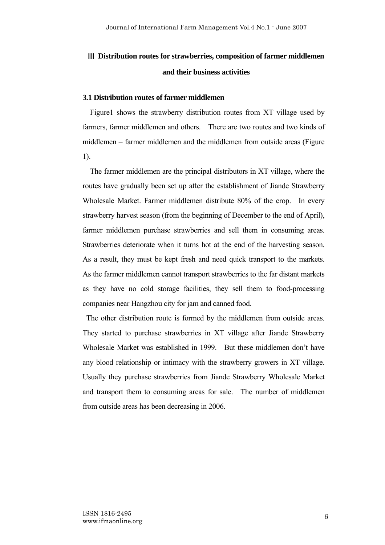# Ⅲ **Distribution routes for strawberries, composition of farmer middlemen and their business activities**

### **3.1 Distribution routes of farmer middlemen**

Figure1 shows the strawberry distribution routes from XT village used by farmers, farmer middlemen and others. There are two routes and two kinds of middlemen – farmer middlemen and the middlemen from outside areas (Figure 1).

The farmer middlemen are the principal distributors in XT village, where the routes have gradually been set up after the establishment of Jiande Strawberry Wholesale Market. Farmer middlemen distribute 80% of the crop. In every strawberry harvest season (from the beginning of December to the end of April), farmer middlemen purchase strawberries and sell them in consuming areas. Strawberries deteriorate when it turns hot at the end of the harvesting season. As a result, they must be kept fresh and need quick transport to the markets. As the farmer middlemen cannot transport strawberries to the far distant markets as they have no cold storage facilities, they sell them to food-processing companies near Hangzhou city for jam and canned food.

The other distribution route is formed by the middlemen from outside areas. They started to purchase strawberries in XT village after Jiande Strawberry Wholesale Market was established in 1999. But these middlemen don't have any blood relationship or intimacy with the strawberry growers in XT village. Usually they purchase strawberries from Jiande Strawberry Wholesale Market and transport them to consuming areas for sale. The number of middlemen from outside areas has been decreasing in 2006.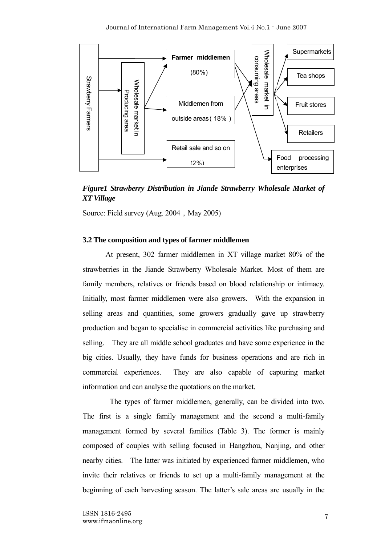

*Figure1 Strawberry Distribution in Jiande Strawberry Wholesale Market of XT Village* 

Source: Field survey (Aug. 2004, May 2005)

# **3.2 The composition and types of farmer middlemen**

 At present, 302 farmer middlemen in XT village market 80% of the strawberries in the Jiande Strawberry Wholesale Market. Most of them are family members, relatives or friends based on blood relationship or intimacy. Initially, most farmer middlemen were also growers. With the expansion in selling areas and quantities, some growers gradually gave up strawberry production and began to specialise in commercial activities like purchasing and selling. They are all middle school graduates and have some experience in the big cities. Usually, they have funds for business operations and are rich in commercial experiences. They are also capable of capturing market information and can analyse the quotations on the market.

The types of farmer middlemen, generally, can be divided into two. The first is a single family management and the second a multi-family management formed by several families (Table 3). The former is mainly composed of couples with selling focused in Hangzhou, Nanjing, and other nearby cities. The latter was initiated by experienced farmer middlemen, who invite their relatives or friends to set up a multi-family management at the beginning of each harvesting season. The latter's sale areas are usually in the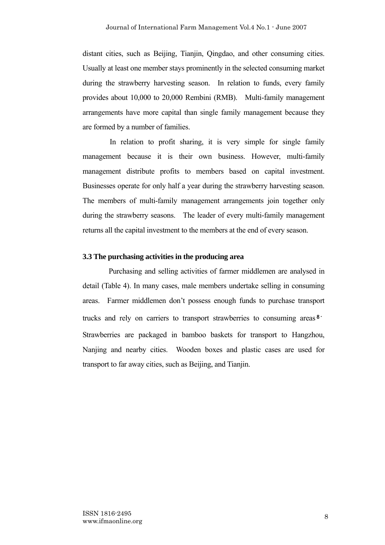distant cities, such as Beijing, Tianjin, Qingdao, and other consuming cities. Usually at least one member stays prominently in the selected consuming market during the strawberry harvesting season. In relation to funds, every family provides about 10,000 to 20,000 Rembini (RMB). Multi-family management arrangements have more capital than single family management because they are formed by a number of families.

In relation to profit sharing, it is very simple for single family management because it is their own business. However, multi-family management distribute profits to members based on capital investment. Businesses operate for only half a year during the strawberry harvesting season. The members of multi-family management arrangements join together only during the strawberry seasons. The leader of every multi-family management returns all the capital investment to the members at the end of every season.

#### **3.3 The purchasing activities in the producing area**

 Purchasing and selling activities of farmer middlemen are analysed in detail (Table 4). In many cases, male members undertake selling in consuming areas. Farmer middlemen don't possess enough funds to purchase transport trucks and rely on carriers to transport strawberries to consuming areas<sup>8</sup>. Strawberries are packaged in bamboo baskets for transport to Hangzhou, Nanjing and nearby cities. Wooden boxes and plastic cases are used for transport to far away cities, such as Beijing, and Tianjin.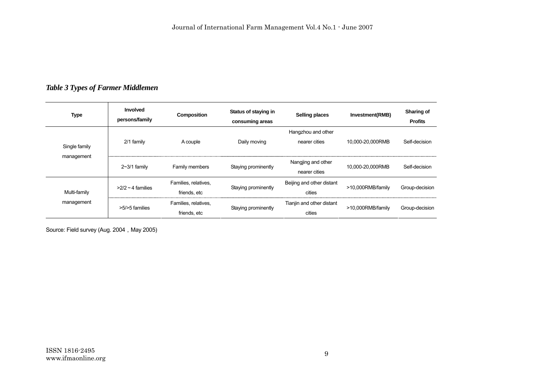# *Table 3 Types of Farmer Middlemen*

| <b>Type</b>   | <b>Involved</b><br>persons/family | Composition          | Status of staying in<br>consuming areas | Selling places            | Investment(RMB)   | Sharing of<br><b>Profits</b> |
|---------------|-----------------------------------|----------------------|-----------------------------------------|---------------------------|-------------------|------------------------------|
|               |                                   |                      |                                         | Hangzhou and other        |                   |                              |
| Single family | $2/1$ family                      | A couple             | Daily moving                            | nearer cities             | 10,000-20,000RMB  | Self-decision                |
| management    | $2~3/1$ family<br>Family members  |                      | Staying prominently                     | Nangjing and other        | 10.000-20.000RMB  | Self-decision                |
|               |                                   |                      |                                         | nearer cities             |                   |                              |
|               | $>2/2 \sim 4$ families            | Families, relatives, | Staying prominently                     | Beijing and other distant | >10,000RMB/family | Group-decision               |
| Multi-family  |                                   | friends, etc         |                                         | cities                    |                   |                              |
| management    | >5/>5 families                    | Families, relatives, | Staying prominently                     | Tianjin and other distant | >10,000RMB/family | Group-decision               |
|               |                                   | friends, etc         |                                         | cities                    |                   |                              |

Source: Field survey (Aug. 2004, May 2005)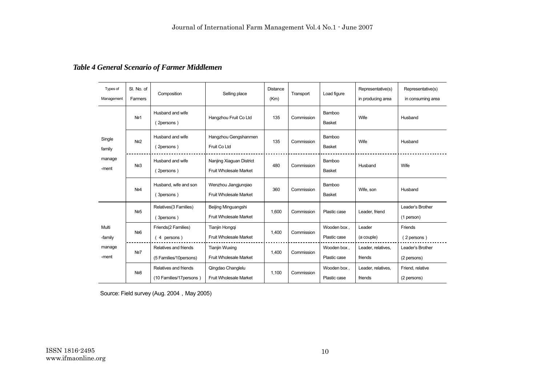# *Table 4 General Scenario of Farmer Middlemen*

| Types of<br>Management              | SI. No. of<br>Farmers | Composition                                       | Selling place                                         | Distance<br>(Km) | Transport  | Load figure                 | Representative(s)<br>in producing area | Representative(s)<br>in consuming area |
|-------------------------------------|-----------------------|---------------------------------------------------|-------------------------------------------------------|------------------|------------|-----------------------------|----------------------------------------|----------------------------------------|
| Single<br>family<br>manage<br>-ment | N <sub>21</sub>       | Husband and wife<br>(2persons)                    | Hangzhou Fruit Co Ltd                                 | 135              | Commission | Bamboo<br><b>Basket</b>     | Wife                                   | Husband                                |
|                                     | Nº <sub>2</sub>       | Husband and wife<br>(2persons)                    | Hangzhou Gengshanmen<br>Fruit Co Ltd                  | 135              | Commission | Bamboo<br><b>Basket</b>     | Wife                                   | Husband                                |
|                                     | N <sub>23</sub>       | Husband and wife<br>(2persons)                    | Nanjing Xiaguan District<br>Fruit Wholesale Market    | 480              | Commission | Bamboo<br><b>Basket</b>     | Husband                                | Wife                                   |
|                                     | No <sub>4</sub>       | Husband, wife and son<br>3persons)                | Wenzhou Jiangjunqiao<br><b>Fruit Wholesale Market</b> | 360              | Commission | Bamboo<br><b>Basket</b>     | Wife, son                              | Husband                                |
| Multi<br>-family<br>manage<br>-ment | N <sub>25</sub>       | Relatives(3 Families)<br>(3persons)               | Beijing Minguangshi<br>Fruit Wholesale Market         | 1.600            | Commission | Plastic case                | Leader, friend                         | Leader's Brother<br>(1 person)         |
|                                     | N <sub>26</sub>       | Friends(2 Families)<br>4 persons)                 | Tianjin Hongqi<br>Fruit Wholesale Market              | 1,400            | Commission | Wooden box,<br>Plastic case | Leader<br>(a couple)                   | Friends<br>(2 persons)                 |
|                                     | No7                   | Relatives and friends<br>(5 Families/10persons)   | <b>Tianjin Wuxing</b><br>Fruit Wholesale Market       | 1.400            | Commission | Wooden box,<br>Plastic case | Leader, relatives,<br>friends          | Leader's Brother<br>(2 persons)        |
|                                     | N <sub>2</sub> 8      | Relatives and friends<br>(10 Families/17 persons) | Qingdao Changlelu<br>Fruit Wholesale Market           | 1,100            | Commission | Wooden box,<br>Plastic case | Leader, relatives,<br>friends          | Friend, relative<br>(2 persons)        |

Source: Field survey (Aug. 2004, May 2005)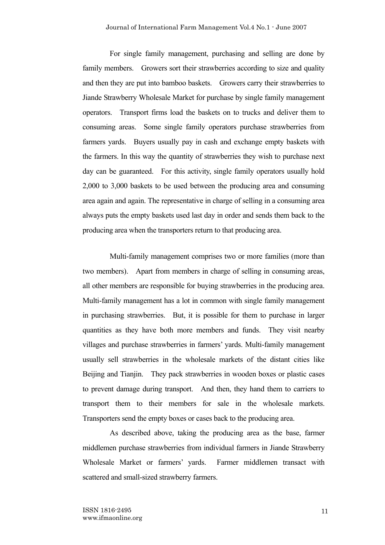For single family management, purchasing and selling are done by family members. Growers sort their strawberries according to size and quality and then they are put into bamboo baskets. Growers carry their strawberries to Jiande Strawberry Wholesale Market for purchase by single family management operators. Transport firms load the baskets on to trucks and deliver them to consuming areas. Some single family operators purchase strawberries from farmers yards. Buyers usually pay in cash and exchange empty baskets with the farmers. In this way the quantity of strawberries they wish to purchase next day can be guaranteed. For this activity, single family operators usually hold 2,000 to 3,000 baskets to be used between the producing area and consuming area again and again. The representative in charge of selling in a consuming area always puts the empty baskets used last day in order and sends them back to the producing area when the transporters return to that producing area.

Multi-family management comprises two or more families (more than two members). Apart from members in charge of selling in consuming areas, all other members are responsible for buying strawberries in the producing area. Multi-family management has a lot in common with single family management in purchasing strawberries. But, it is possible for them to purchase in larger quantities as they have both more members and funds. They visit nearby villages and purchase strawberries in farmers' yards. Multi-family management usually sell strawberries in the wholesale markets of the distant cities like Beijing and Tianjin. They pack strawberries in wooden boxes or plastic cases to prevent damage during transport. And then, they hand them to carriers to transport them to their members for sale in the wholesale markets. Transporters send the empty boxes or cases back to the producing area.

As described above, taking the producing area as the base, farmer middlemen purchase strawberries from individual farmers in Jiande Strawberry Wholesale Market or farmers' yards. Farmer middlemen transact with scattered and small-sized strawberry farmers.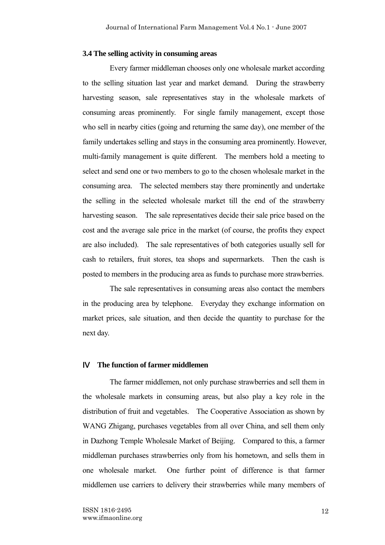### **3.4 The selling activity in consuming areas**

Every farmer middleman chooses only one wholesale market according to the selling situation last year and market demand. During the strawberry harvesting season, sale representatives stay in the wholesale markets of consuming areas prominently. For single family management, except those who sell in nearby cities (going and returning the same day), one member of the family undertakes selling and stays in the consuming area prominently. However, multi-family management is quite different. The members hold a meeting to select and send one or two members to go to the chosen wholesale market in the consuming area. The selected members stay there prominently and undertake the selling in the selected wholesale market till the end of the strawberry harvesting season. The sale representatives decide their sale price based on the cost and the average sale price in the market (of course, the profits they expect are also included). The sale representatives of both categories usually sell for cash to retailers, fruit stores, tea shops and supermarkets. Then the cash is posted to members in the producing area as funds to purchase more strawberries.

The sale representatives in consuming areas also contact the members in the producing area by telephone. Everyday they exchange information on market prices, sale situation, and then decide the quantity to purchase for the next day.

# Ⅳ **The function of farmer middlemen**

The farmer middlemen, not only purchase strawberries and sell them in the wholesale markets in consuming areas, but also play a key role in the distribution of fruit and vegetables. The Cooperative Association as shown by WANG Zhigang, purchases vegetables from all over China, and sell them only in Dazhong Temple Wholesale Market of Beijing. Compared to this, a farmer middleman purchases strawberries only from his hometown, and sells them in one wholesale market. One further point of difference is that farmer middlemen use carriers to delivery their strawberries while many members of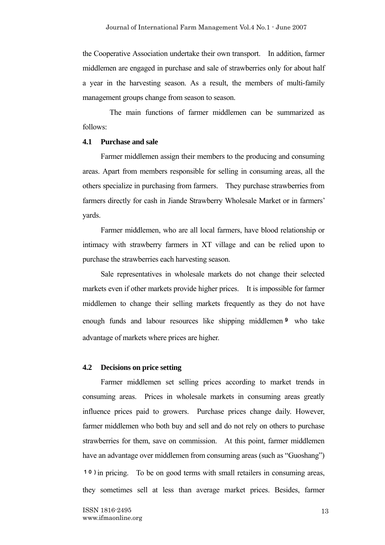the Cooperative Association undertake their own transport. In addition, farmer middlemen are engaged in purchase and sale of strawberries only for about half a year in the harvesting season. As a result, the members of multi-family management groups change from season to season.

The main functions of farmer middlemen can be summarized as follows:

### **4.1 Purchase and sale**

Farmer middlemen assign their members to the producing and consuming areas. Apart from members responsible for selling in consuming areas, all the others specialize in purchasing from farmers. They purchase strawberries from farmers directly for cash in Jiande Strawberry Wholesale Market or in farmers' yards.

Farmer middlemen, who are all local farmers, have blood relationship or intimacy with strawberry farmers in XT village and can be relied upon to purchase the strawberries each harvesting season.

Sale representatives in wholesale markets do not change their selected markets even if other markets provide higher prices. It is impossible for farmer middlemen to change their selling markets frequently as they do not have enough funds and labour resources like shipping middlemen<sup>9</sup> who take advantage of markets where prices are higher.

#### **4.2 Decisions on price setting**

Farmer middlemen set selling prices according to market trends in consuming areas. Prices in wholesale markets in consuming areas greatly influence prices paid to growers. Purchase prices change daily. However, farmer middlemen who both buy and sell and do not rely on others to purchase strawberries for them, save on commission. At this point, farmer middlemen have an advantage over middlemen from consuming areas (such as "Guoshang") 10)in pricing. To be on good terms with small retailers in consuming areas, they sometimes sell at less than average market prices. Besides, farmer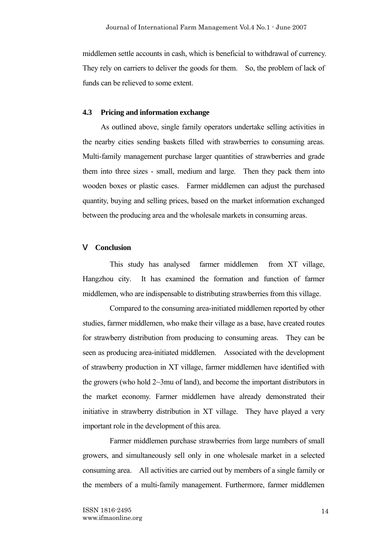middlemen settle accounts in cash, which is beneficial to withdrawal of currency. They rely on carriers to deliver the goods for them. So, the problem of lack of funds can be relieved to some extent.

# **4.3 Pricing and information exchange**

As outlined above, single family operators undertake selling activities in the nearby cities sending baskets filled with strawberries to consuming areas. Multi-family management purchase larger quantities of strawberries and grade them into three sizes - small, medium and large. Then they pack them into wooden boxes or plastic cases. Farmer middlemen can adjust the purchased quantity, buying and selling prices, based on the market information exchanged between the producing area and the wholesale markets in consuming areas.

#### Ⅴ **Conclusion**

This study has analysed farmer middlemen from XT village, Hangzhou city. It has examined the formation and function of farmer middlemen, who are indispensable to distributing strawberries from this village.

Compared to the consuming area-initiated middlemen reported by other studies, farmer middlemen, who make their village as a base, have created routes for strawberry distribution from producing to consuming areas. They can be seen as producing area-initiated middlemen. Associated with the development of strawberry production in XT village, farmer middlemen have identified with the growers (who hold 2~3mu of land), and become the important distributors in the market economy. Farmer middlemen have already demonstrated their initiative in strawberry distribution in XT village. They have played a very important role in the development of this area.

Farmer middlemen purchase strawberries from large numbers of small growers, and simultaneously sell only in one wholesale market in a selected consuming area. All activities are carried out by members of a single family or the members of a multi-family management. Furthermore, farmer middlemen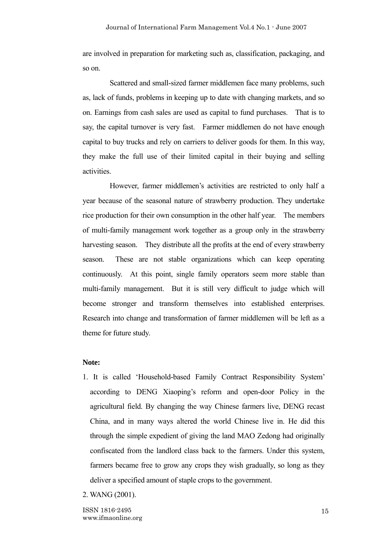are involved in preparation for marketing such as, classification, packaging, and so on.

 Scattered and small-sized farmer middlemen face many problems, such as, lack of funds, problems in keeping up to date with changing markets, and so on. Earnings from cash sales are used as capital to fund purchases. That is to say, the capital turnover is very fast. Farmer middlemen do not have enough capital to buy trucks and rely on carriers to deliver goods for them. In this way, they make the full use of their limited capital in their buying and selling activities.

 However, farmer middlemen's activities are restricted to only half a year because of the seasonal nature of strawberry production. They undertake rice production for their own consumption in the other half year. The members of multi-family management work together as a group only in the strawberry harvesting season. They distribute all the profits at the end of every strawberry season. These are not stable organizations which can keep operating continuously. At this point, single family operators seem more stable than multi-family management. But it is still very difficult to judge which will become stronger and transform themselves into established enterprises. Research into change and transformation of farmer middlemen will be left as a theme for future study.

# **Note:**

- 1. It is called 'Household-based Family Contract Responsibility System' according to DENG Xiaoping's reform and open-door Policy in the agricultural field. By changing the way Chinese farmers live, DENG recast China, and in many ways altered the world Chinese live in. He did this through the simple expedient of giving the land MAO Zedong had originally confiscated from the landlord class back to the farmers. Under this system, farmers became free to grow any crops they wish gradually, so long as they deliver a specified amount of staple crops to the government.
- 2. WANG (2001).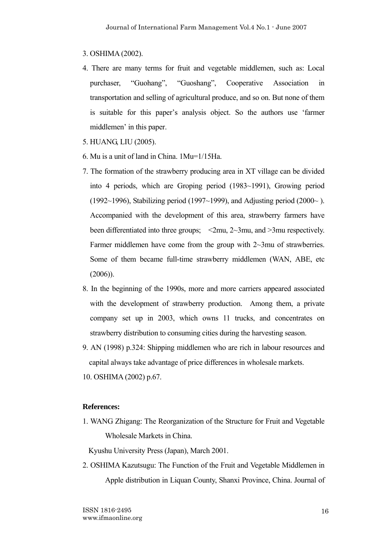### 3. OSHIMA (2002).

- 4. There are many terms for fruit and vegetable middlemen, such as: Local purchaser, "Guohang", "Guoshang", Cooperative Association in transportation and selling of agricultural produce, and so on. But none of them is suitable for this paper's analysis object. So the authors use 'farmer middlemen' in this paper.
- 5. HUANG, LIU (2005).
- 6. Mu is a unit of land in China. 1Mu=1/15Ha.
- 7. The formation of the strawberry producing area in XT village can be divided into 4 periods, which are Groping period (1983~1991), Growing period (1992~1996), Stabilizing period (1997~1999), and Adjusting period (2000~). Accompanied with the development of this area, strawberry farmers have been differentiated into three groups;  $\langle 2mu, 2\nu, 3mu,$  and  $\langle 3mn, 3mn \rangle$  respectively. Farmer middlemen have come from the group with 2~3mu of strawberries. Some of them became full-time strawberry middlemen (WAN, ABE, etc (2006)).
- 8. In the beginning of the 1990s, more and more carriers appeared associated with the development of strawberry production. Among them, a private company set up in 2003, which owns 11 trucks, and concentrates on strawberry distribution to consuming cities during the harvesting season.
- 9. AN (1998) p.324: Shipping middlemen who are rich in labour resources and capital always take advantage of price differences in wholesale markets.

10. OSHIMA (2002) p.67.

# **References:**

1. WANG Zhigang: The Reorganization of the Structure for Fruit and Vegetable Wholesale Markets in China.

Kyushu University Press (Japan), March 2001.

2. OSHIMA Kazutsugu: The Function of the Fruit and Vegetable Middlemen in Apple distribution in Liquan County, Shanxi Province, China. Journal of